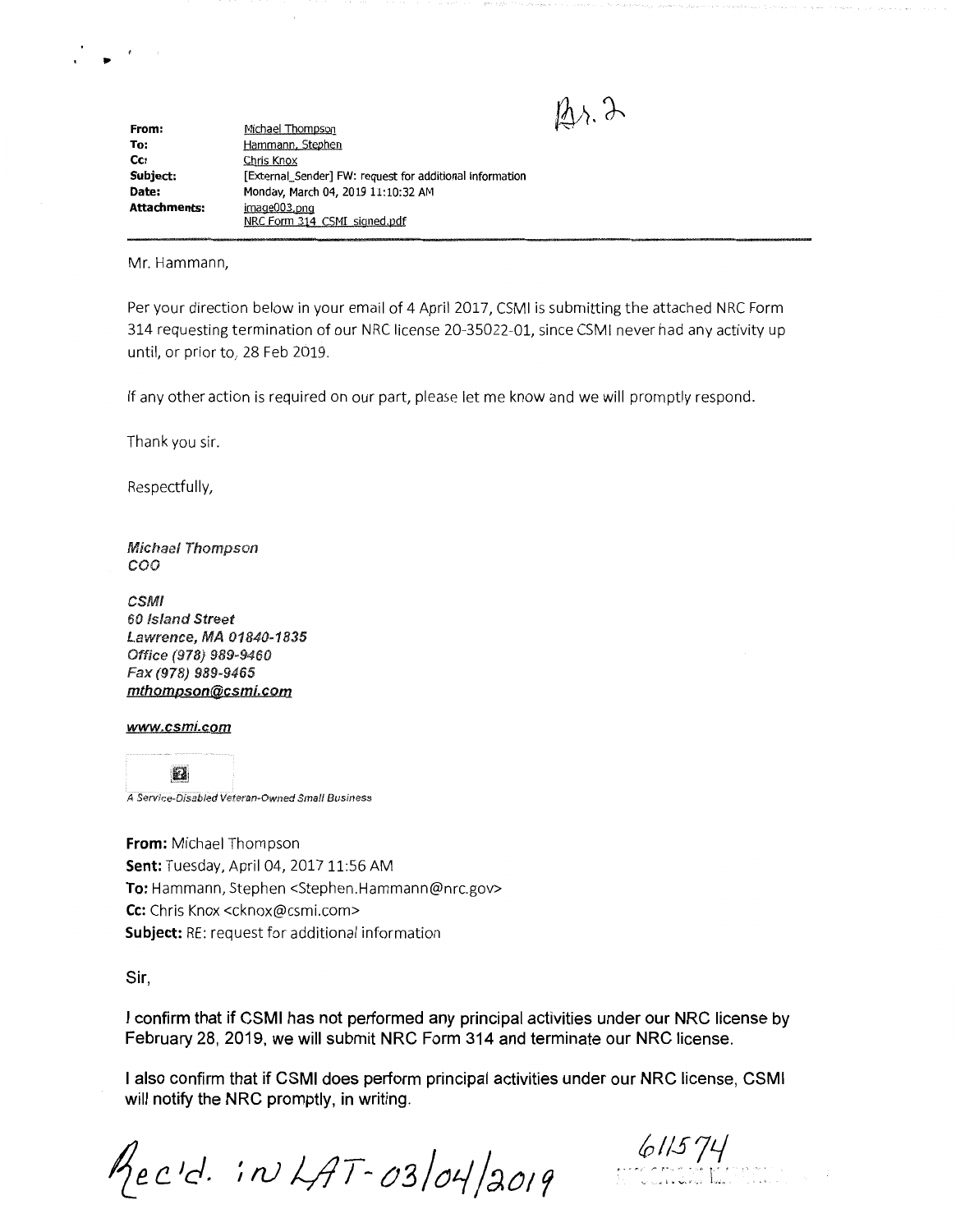**From: To: Cc: Subject: Date: Attachments:**  Michael Thompson Hammann. Stephen Chris Knox [External\_Sender] FW: request for additional information Monday, March 04, 2019 11:10:32 AM image003.png NRC Form 314 CSMI signed.pdf

Mr. Hammann,

,.

Per your direction below in your email of 4 April 2017, CSMI is submitting the attached NRC Form 314 requesting termination of our NRC license 20-35022-01, since CSMI never had any activity up until, or prior to, 28 Feb 2019.

If any other action is required on our part, please let me know and we will promptly respond.

Thank you sir.

Respectfully,

**Michael Thompson** coo

CSMI 60 Island Street Lawrence, MA 01840-1835 Office (978) 989-9460 Fax (978) 989-9465 **mthompson@csmi.com** 

## **www.csmi.com**

靏

A Service-Disabled Veteran-Owned Small Business

**From:** Michael Thompson **Sent:** Tuesday, April 04, 2017 11:56 AM **To:** Hammann, Stephen <Stephen.Hammann@nrc.gov> **Cc:** Chris Knox <cknox@csmi.com> **Subject:** RE: request for additional information

**Sir,** 

**I confirm that if CSMI has not performed any principal activities under our NRC license by February 28, 2019, we will submit NRC Form 314 and terminate our NRC license.** 

**I also confirm that if CSMI does perform principal activities under our NRC license, CSMI will notify the NRC promptly, in writing.** 

Mec'd. in LAT-03/04/2019

*0//SJ'-/*  ·. r.·:.:.: .. : r.·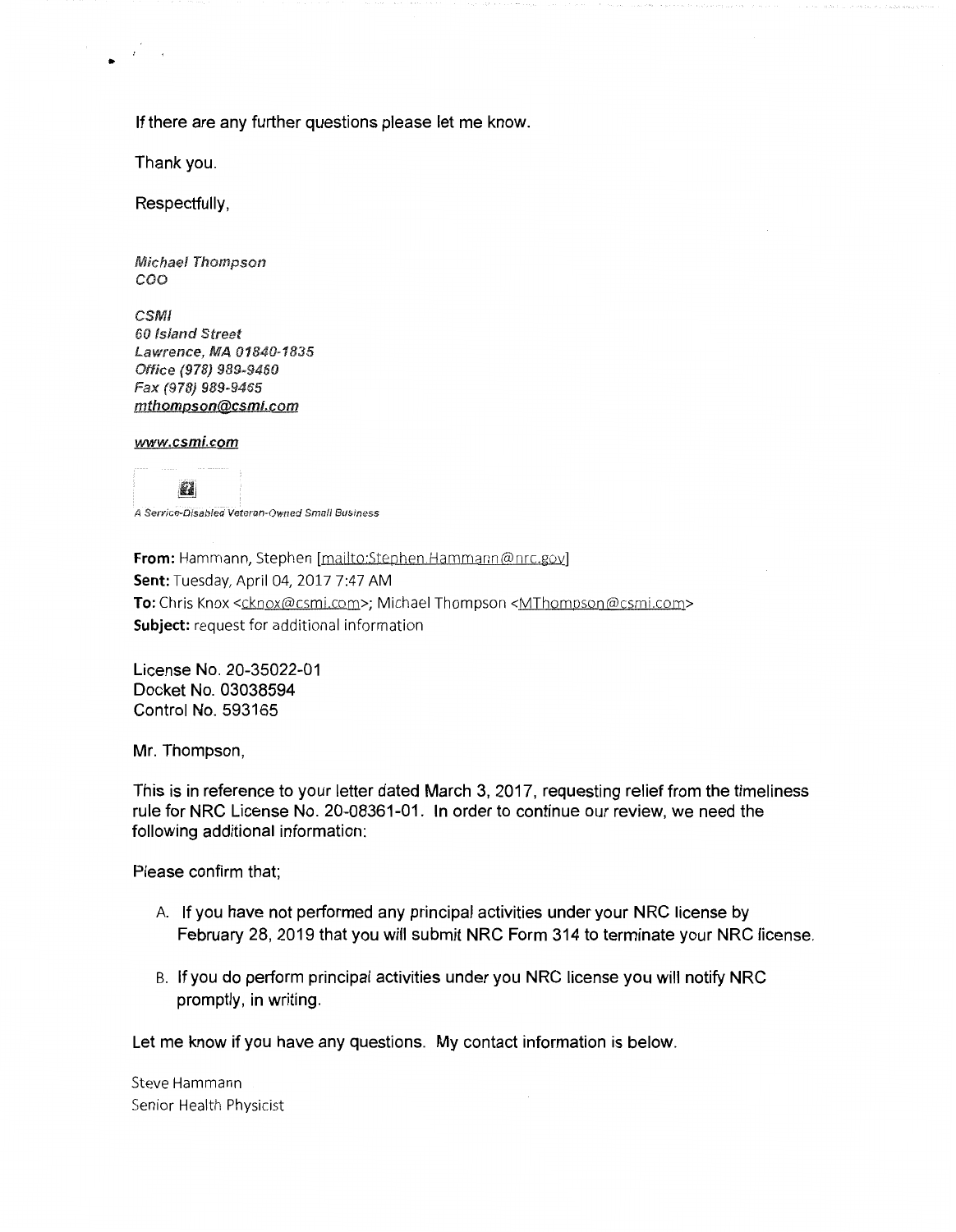**If there are any further questions please let me know.** 

**Thank you.** 

..

**Respectfully,** 

**Michael Thompson** coo

**CSMI** 60 Island Street Lawrence, MA 01840-1835 Office (978) 989-9460 Fax (978) 989-9465 **mthompson@csmi.com** 

**www.csmi.com** 

**E2** A Service-Disabled Veteran-Owned Small Business

**From:** Hammann, Stephen [mailto:Stephen.Hammann@nrc.gov] **Sent:** Tuesday, April 04, 2017 7:47 AM To: Chris Knox <cknox@csmi.com>; Michael Thompson <MThompson@csmi.com> **Subject:** request for additional information

**License No. 20-35022-01 Docket No. 03038594 Control No. 593165** 

**Mr. Thompson,** 

**This is in reference to your letter dated March 3, 2017, requesting relief from the timeliness rule for NRC License No. 20-08361-01. In order to continue our review, we need the following additional information:** 

**Please confirm that;** 

- A. **If you have not performed any principal activities under your NRC license by February 28, 2019 that you will submit NRC Form 314 to terminate your NRC license.**
- B. **If you do perform principal activities under you NRC license you will notify NRC promptly, in writing.**

**Let me know if you have any questions. My contact information is below.** 

Steve Hammann Senior Health Physicist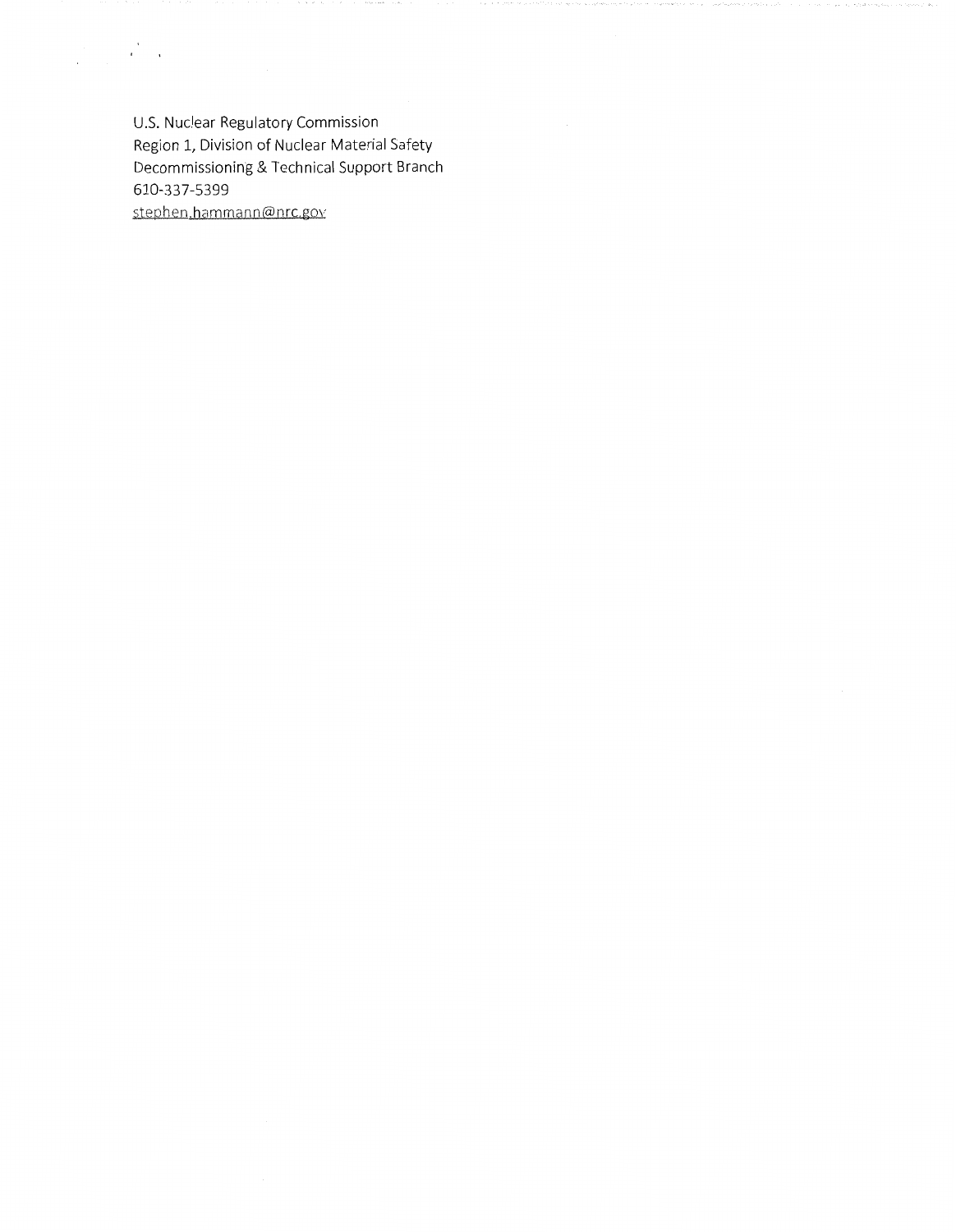U.S. Nuclear Regulatory Commission Region 1, Division of Nuclear Material Safety Decommissioning & Technical Support Branch 610-337-5399 stephen.hammann@nrc.gov

 $\label{eq:2} \frac{1}{\sqrt{2\pi}}\sum_{\alpha\in\mathbb{Z}}\frac{1}{\sqrt{2\pi}}\sum_{\alpha\in\mathbb{Z}}\frac{1}{\sqrt{2\pi}}\sum_{\alpha\in\mathbb{Z}}\frac{1}{\sqrt{2\pi}}\sum_{\alpha\in\mathbb{Z}}\frac{1}{\sqrt{2\pi}}\sum_{\alpha\in\mathbb{Z}}\frac{1}{\sqrt{2\pi}}\sum_{\alpha\in\mathbb{Z}}\frac{1}{\sqrt{2\pi}}\sum_{\alpha\in\mathbb{Z}}\frac{1}{\sqrt{2\pi}}\sum_{\alpha\in\mathbb{Z}}\frac{1}{\sqrt{2\pi}}\$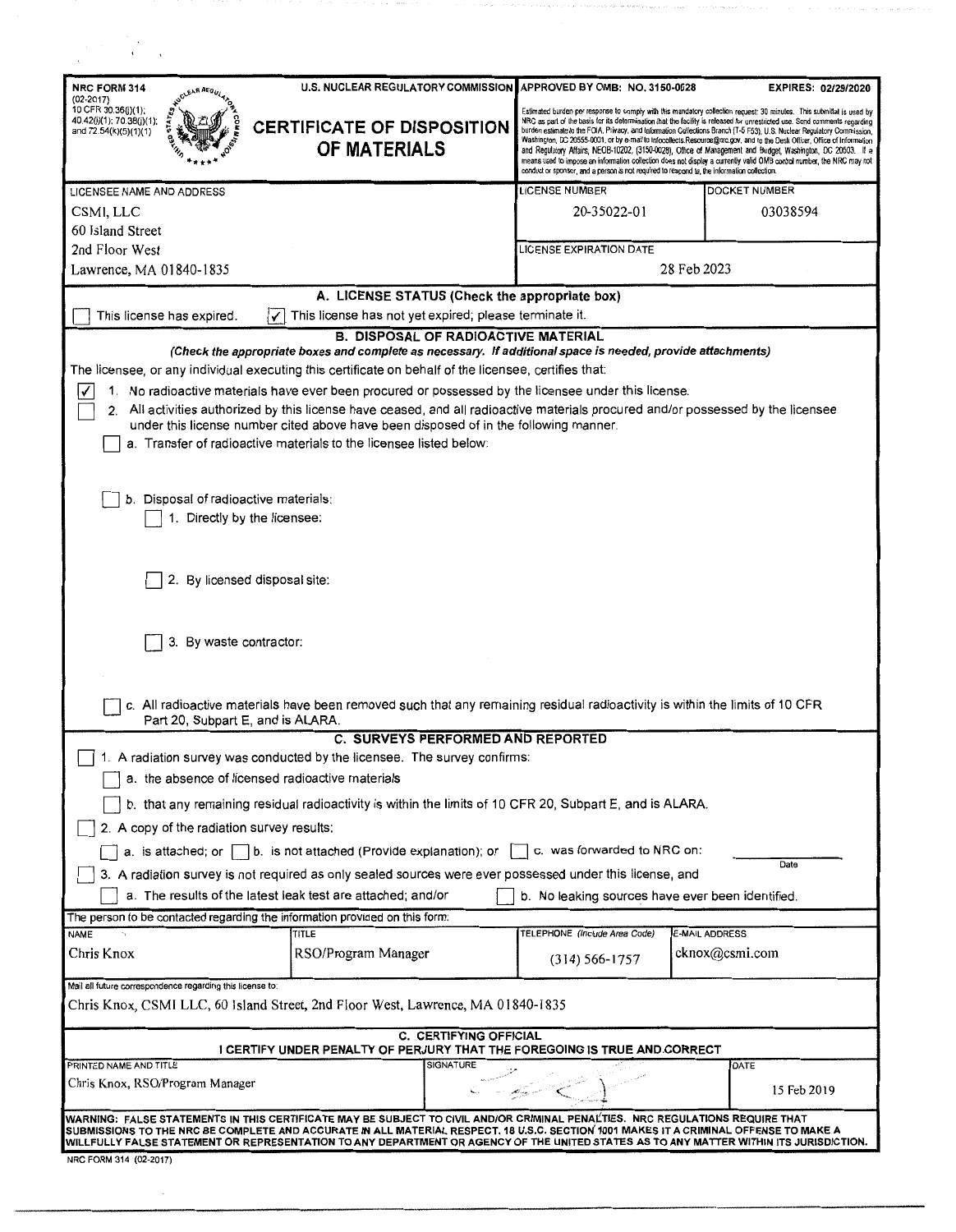| U.S. NUCLEAR REGULATORY COMMISSION<br>NRC FORM 314<br>$(02 - 2017)$<br>10 CFR 30.36(j)(1);<br>40.42(j)(1); 70.38(j)(1);<br><b>CERTIFICATE OF DISPOSITION</b><br>and 72.54(k)(5)(1)(1)<br><b>OF MATERIALS</b>                                                                                                                                                                                                                                                                                                                                                                                                                                                                  |                  | APPROVED BY OMB: NO. 3150-0028<br>conduct or sponsor, and a person is not required to respond to, the information collection. | <b>EXPIRES: 02/29/2020</b><br>Estimated burden per response to comply with this mandatory collection request: 30 minutes. This submittal is used by<br>NRC as part of the basis for its determination that the facility is released for unrestricted use. Send comments regarding<br>burden estimate to the FOIA, Privacy, and Information Collections Branch (T-5 F53), U.S. Nuclear Regulatory Commission,<br>Washington, DC 20555-0001, or by e-mail to Infocollects.Resource@nrc.gov, and to the Desk Officer, Office of Information<br>and Regulatory Affairs, NEOB-10202, (3150-0028), Office of Management and Budget, Washington, DC 20503. It a<br>means used to impose an information collection does not display a currently valid OMB control number, the NRC may not |  |
|-------------------------------------------------------------------------------------------------------------------------------------------------------------------------------------------------------------------------------------------------------------------------------------------------------------------------------------------------------------------------------------------------------------------------------------------------------------------------------------------------------------------------------------------------------------------------------------------------------------------------------------------------------------------------------|------------------|-------------------------------------------------------------------------------------------------------------------------------|-----------------------------------------------------------------------------------------------------------------------------------------------------------------------------------------------------------------------------------------------------------------------------------------------------------------------------------------------------------------------------------------------------------------------------------------------------------------------------------------------------------------------------------------------------------------------------------------------------------------------------------------------------------------------------------------------------------------------------------------------------------------------------------|--|
| LICENSEE NAME AND ADDRESS                                                                                                                                                                                                                                                                                                                                                                                                                                                                                                                                                                                                                                                     |                  | <b>LICENSE NUMBER</b>                                                                                                         | <b>DOCKET NUMBER</b>                                                                                                                                                                                                                                                                                                                                                                                                                                                                                                                                                                                                                                                                                                                                                              |  |
| CSMI, LLC                                                                                                                                                                                                                                                                                                                                                                                                                                                                                                                                                                                                                                                                     |                  | 20-35022-01                                                                                                                   | 03038594                                                                                                                                                                                                                                                                                                                                                                                                                                                                                                                                                                                                                                                                                                                                                                          |  |
| 60 Island Street                                                                                                                                                                                                                                                                                                                                                                                                                                                                                                                                                                                                                                                              |                  |                                                                                                                               |                                                                                                                                                                                                                                                                                                                                                                                                                                                                                                                                                                                                                                                                                                                                                                                   |  |
| 2nd Floor West                                                                                                                                                                                                                                                                                                                                                                                                                                                                                                                                                                                                                                                                |                  | LICENSE EXPIRATION DATE                                                                                                       |                                                                                                                                                                                                                                                                                                                                                                                                                                                                                                                                                                                                                                                                                                                                                                                   |  |
| 28 Feb 2023<br>Lawrence, MA 01840-1835                                                                                                                                                                                                                                                                                                                                                                                                                                                                                                                                                                                                                                        |                  |                                                                                                                               |                                                                                                                                                                                                                                                                                                                                                                                                                                                                                                                                                                                                                                                                                                                                                                                   |  |
| A. LICENSE STATUS (Check the appropriate box)                                                                                                                                                                                                                                                                                                                                                                                                                                                                                                                                                                                                                                 |                  |                                                                                                                               |                                                                                                                                                                                                                                                                                                                                                                                                                                                                                                                                                                                                                                                                                                                                                                                   |  |
| This license has expired.<br>This license has not yet expired; please terminate it.                                                                                                                                                                                                                                                                                                                                                                                                                                                                                                                                                                                           |                  |                                                                                                                               |                                                                                                                                                                                                                                                                                                                                                                                                                                                                                                                                                                                                                                                                                                                                                                                   |  |
| <b>B. DISPOSAL OF RADIOACTIVE MATERIAL</b><br>(Check the appropriate boxes and complete as necessary. If additional space is needed, provide attachments)<br>The licensee, or any individual executing this certificate on behalf of the licensee, certifies that:<br>1. No radioactive materials have ever been procured or possessed by the licensee under this license.<br>2. All activities authorized by this license have ceased, and all radioactive materials procured and/or possessed by the licensee<br>under this license number cited above have been disposed of in the following manner.<br>a. Transfer of radioactive materials to the licensee listed below: |                  |                                                                                                                               |                                                                                                                                                                                                                                                                                                                                                                                                                                                                                                                                                                                                                                                                                                                                                                                   |  |
| b. Disposal of radioactive materials:<br>1. Directly by the licensee:<br>2. By licensed disposal site:                                                                                                                                                                                                                                                                                                                                                                                                                                                                                                                                                                        |                  |                                                                                                                               |                                                                                                                                                                                                                                                                                                                                                                                                                                                                                                                                                                                                                                                                                                                                                                                   |  |
| 3. By waste contractor:<br>c. All radioactive materials have been removed such that any remaining residual radioactivity is within the limits of 10 CFR<br>Part 20, Subpart E, and is ALARA.                                                                                                                                                                                                                                                                                                                                                                                                                                                                                  |                  |                                                                                                                               |                                                                                                                                                                                                                                                                                                                                                                                                                                                                                                                                                                                                                                                                                                                                                                                   |  |
| <b>C. SURVEYS PERFORMED AND REPORTED</b>                                                                                                                                                                                                                                                                                                                                                                                                                                                                                                                                                                                                                                      |                  |                                                                                                                               |                                                                                                                                                                                                                                                                                                                                                                                                                                                                                                                                                                                                                                                                                                                                                                                   |  |
| 1. A radiation survey was conducted by the licensee. The survey confirms:                                                                                                                                                                                                                                                                                                                                                                                                                                                                                                                                                                                                     |                  |                                                                                                                               |                                                                                                                                                                                                                                                                                                                                                                                                                                                                                                                                                                                                                                                                                                                                                                                   |  |
| a. the absence of licensed radioactive materials                                                                                                                                                                                                                                                                                                                                                                                                                                                                                                                                                                                                                              |                  |                                                                                                                               |                                                                                                                                                                                                                                                                                                                                                                                                                                                                                                                                                                                                                                                                                                                                                                                   |  |
| b. that any remaining residual radioactivity is within the limits of 10 CFR 20, Subpart E, and is ALARA.                                                                                                                                                                                                                                                                                                                                                                                                                                                                                                                                                                      |                  |                                                                                                                               |                                                                                                                                                                                                                                                                                                                                                                                                                                                                                                                                                                                                                                                                                                                                                                                   |  |
| 2. A copy of the radiation survey results:                                                                                                                                                                                                                                                                                                                                                                                                                                                                                                                                                                                                                                    |                  |                                                                                                                               |                                                                                                                                                                                                                                                                                                                                                                                                                                                                                                                                                                                                                                                                                                                                                                                   |  |
| c. was forwarded to NRC on:<br>a. is attached; or $\vert \hspace{.1cm} \vert$ b. is not attached (Provide explanation); or                                                                                                                                                                                                                                                                                                                                                                                                                                                                                                                                                    |                  |                                                                                                                               |                                                                                                                                                                                                                                                                                                                                                                                                                                                                                                                                                                                                                                                                                                                                                                                   |  |
| Date<br>3. A radiation survey is not required as only sealed sources were ever possessed under this license, and                                                                                                                                                                                                                                                                                                                                                                                                                                                                                                                                                              |                  |                                                                                                                               |                                                                                                                                                                                                                                                                                                                                                                                                                                                                                                                                                                                                                                                                                                                                                                                   |  |
| a. The results of the latest leak test are attached; and/or<br>b. No leaking sources have ever been identified.                                                                                                                                                                                                                                                                                                                                                                                                                                                                                                                                                               |                  |                                                                                                                               |                                                                                                                                                                                                                                                                                                                                                                                                                                                                                                                                                                                                                                                                                                                                                                                   |  |
| The person to be contacted regarding the information provided on this form:                                                                                                                                                                                                                                                                                                                                                                                                                                                                                                                                                                                                   |                  |                                                                                                                               |                                                                                                                                                                                                                                                                                                                                                                                                                                                                                                                                                                                                                                                                                                                                                                                   |  |
| <b>NAME</b><br>TITLE                                                                                                                                                                                                                                                                                                                                                                                                                                                                                                                                                                                                                                                          |                  | TELEPHONE (Include Area Code)                                                                                                 | <b>E-MAIL ADDRESS</b>                                                                                                                                                                                                                                                                                                                                                                                                                                                                                                                                                                                                                                                                                                                                                             |  |
| Chris Knox<br>RSO/Program Manager                                                                                                                                                                                                                                                                                                                                                                                                                                                                                                                                                                                                                                             |                  | $(314) 566 - 1757$                                                                                                            | cknox@csmi.com                                                                                                                                                                                                                                                                                                                                                                                                                                                                                                                                                                                                                                                                                                                                                                    |  |
| Mail all future correspondence regarding this license to:                                                                                                                                                                                                                                                                                                                                                                                                                                                                                                                                                                                                                     |                  |                                                                                                                               |                                                                                                                                                                                                                                                                                                                                                                                                                                                                                                                                                                                                                                                                                                                                                                                   |  |
| Chris Knox, CSMI LLC, 60 Island Street, 2nd Floor West, Lawrence, MA 01840-1835                                                                                                                                                                                                                                                                                                                                                                                                                                                                                                                                                                                               |                  |                                                                                                                               |                                                                                                                                                                                                                                                                                                                                                                                                                                                                                                                                                                                                                                                                                                                                                                                   |  |
| <b>C. CERTIFYING OFFICIAL</b><br>I CERTIFY UNDER PENALTY OF PERJURY THAT THE FOREGOING IS TRUE AND CORRECT                                                                                                                                                                                                                                                                                                                                                                                                                                                                                                                                                                    |                  |                                                                                                                               |                                                                                                                                                                                                                                                                                                                                                                                                                                                                                                                                                                                                                                                                                                                                                                                   |  |
| PRINTED NAME AND TITLE<br>Chris Knox, RSO/Program Manager                                                                                                                                                                                                                                                                                                                                                                                                                                                                                                                                                                                                                     | <b>SIGNATURE</b> |                                                                                                                               | DATE<br>15 Feb 2019                                                                                                                                                                                                                                                                                                                                                                                                                                                                                                                                                                                                                                                                                                                                                               |  |
| WARNING: FALSE STATEMENTS IN THIS CERTIFICATE MAY BE SUBJECT TO CIVIL AND/OR CRIMINAL PENALTIES.  NRC REGULATIONS REQUIRE THAT<br>SUBMISSIONS TO THE NRC BE COMPLETE AND ACCURATE IN ALL MATERIAL RESPECT. 18 U.S.C. SECTION 1001 MAKES IT A CRIMINAL OFFENSE TO MAKE A<br>WILLFULLY FALSE STATEMENT OR REPRESENTATION TO ANY DEPARTMENT OR AGENCY OF THE UNITED STATES AS TO ANY MATTER WITHIN ITS JURISDICTION.<br>NRC FORM 314 (02-2017)                                                                                                                                                                                                                                   |                  |                                                                                                                               |                                                                                                                                                                                                                                                                                                                                                                                                                                                                                                                                                                                                                                                                                                                                                                                   |  |

 $\overline{\phantom{a}}$ 

 $\gamma_{\alpha} \gamma_{\beta} \gamma_{\beta} \gamma_{\beta} \gamma_{\beta} \gamma_{\beta} \gamma_{\beta} \gamma_{\beta} \gamma_{\beta} \gamma_{\beta} \gamma_{\beta} \gamma_{\beta} \gamma_{\beta} \gamma_{\beta} \gamma_{\beta} \gamma_{\beta} \gamma_{\beta} \gamma_{\beta} \gamma_{\beta} \gamma_{\beta} \gamma_{\beta} \gamma_{\beta} \gamma_{\beta} \gamma_{\beta} \gamma_{\beta} \gamma_{\beta} \gamma_{\beta} \gamma_{\beta} \gamma_{\beta} \gamma_{\beta} \gamma_{\beta} \gamma_{\beta} \gamma_{\beta} \gamma_{\beta} \gamma_{\beta} \gamma_{\beta} \gamma_{\$